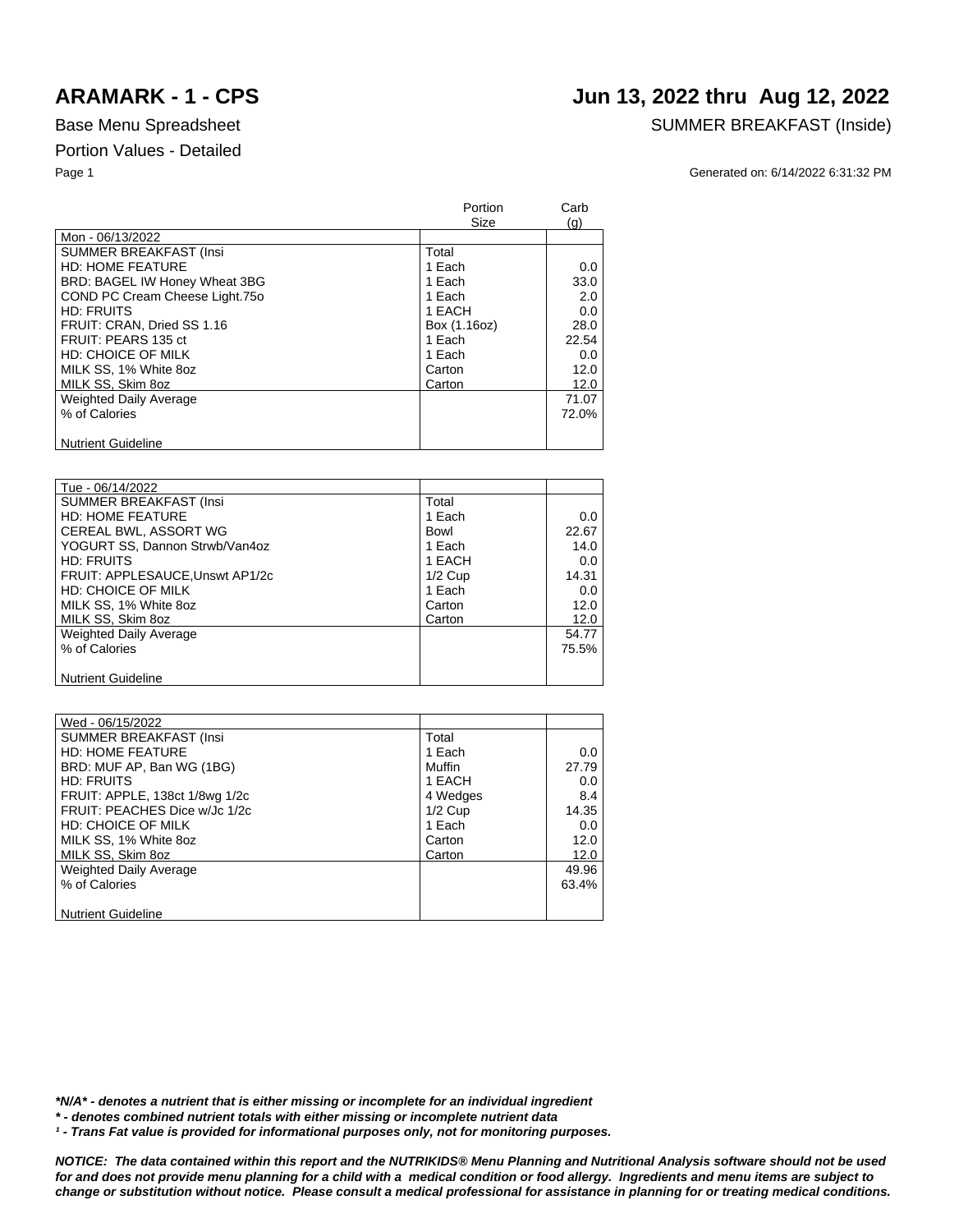## **ARAMARK - 1 - CPS Jun 13, 2022 thru Aug 12, 2022**

### Base Menu Spreadsheet SUMMER BREAKFAST (Inside)

Page 1 Generated on: 6/14/2022 6:31:32 PM

|                                | Portion<br>Size | Carb<br>(q) |
|--------------------------------|-----------------|-------------|
| Mon - 06/13/2022               |                 |             |
| <b>SUMMER BREAKFAST (Insi</b>  | Total           |             |
| <b>HD: HOME FEATURE</b>        | 1 Each          | $0.0\,$     |
| BRD: BAGEL IW Honey Wheat 3BG  | 1 Each          | 33.0        |
| COND PC Cream Cheese Light.750 | 1 Each          | 2.0         |
| <b>HD: FRUITS</b>              | 1 EACH          | 0.0         |
| FRUIT: CRAN, Dried SS 1.16     | Box (1.16oz)    | 28.0        |
| FRUIT: PEARS 135 ct            | 1 Each          | 22.54       |
| HD: CHOICE OF MILK             | 1 Each          | 0.0         |
| MILK SS, 1% White 8oz          | Carton          | 12.0        |
| MILK SS, Skim 8oz              | Carton          | 12.0        |
| <b>Weighted Daily Average</b>  |                 | 71.07       |
| % of Calories                  |                 | 72.0%       |
|                                |                 |             |
| <b>Nutrient Guideline</b>      |                 |             |

| Tue - 06/14/2022                |           |       |
|---------------------------------|-----------|-------|
| <b>SUMMER BREAKFAST (Insi</b>   | Total     |       |
| <b>HD: HOME FEATURE</b>         | 1 Each    | 0.0   |
| CEREAL BWL, ASSORT WG           | Bowl      | 22.67 |
| YOGURT SS, Dannon Strwb/Van4oz  | 1 Each    | 14.0  |
| <b>HD: FRUITS</b>               | 1 EACH    | 0.0   |
| FRUIT: APPLESAUCE, Unswt AP1/2c | $1/2$ Cup | 14.31 |
| HD: CHOICE OF MILK              | 1 Each    | 0.0   |
| MILK SS, 1% White 8oz           | Carton    | 12.0  |
| MILK SS, Skim 8oz               | Carton    | 12.0  |
| <b>Weighted Daily Average</b>   |           | 54.77 |
| % of Calories                   |           | 75.5% |
|                                 |           |       |
| <b>Nutrient Guideline</b>       |           |       |

| Wed - 06/15/2022               |           |       |
|--------------------------------|-----------|-------|
| <b>SUMMER BREAKFAST (Insi</b>  | Total     |       |
| <b>HD: HOME FEATURE</b>        | 1 Each    | 0.0   |
| BRD: MUF AP, Ban WG (1BG)      | Muffin    | 27.79 |
| <b>HD: FRUITS</b>              | 1 EACH    | 0.0   |
| FRUIT: APPLE, 138ct 1/8wg 1/2c | 4 Wedges  | 8.4   |
| FRUIT: PEACHES Dice w/Jc 1/2c  | $1/2$ Cup | 14.35 |
| <b>HD: CHOICE OF MILK</b>      | 1 Each    | 0.0   |
| MILK SS, 1% White 8oz          | Carton    | 12.0  |
| MILK SS, Skim 8oz              | Carton    | 12.0  |
| <b>Weighted Daily Average</b>  |           | 49.96 |
| % of Calories                  |           | 63.4% |
|                                |           |       |
| <b>Nutrient Guideline</b>      |           |       |

*\*N/A\* - denotes a nutrient that is either missing or incomplete for an individual ingredient*

*\* - denotes combined nutrient totals with either missing or incomplete nutrient data*

<sup>1</sup> - Trans Fat value is provided for informational purposes only, not for monitoring purposes.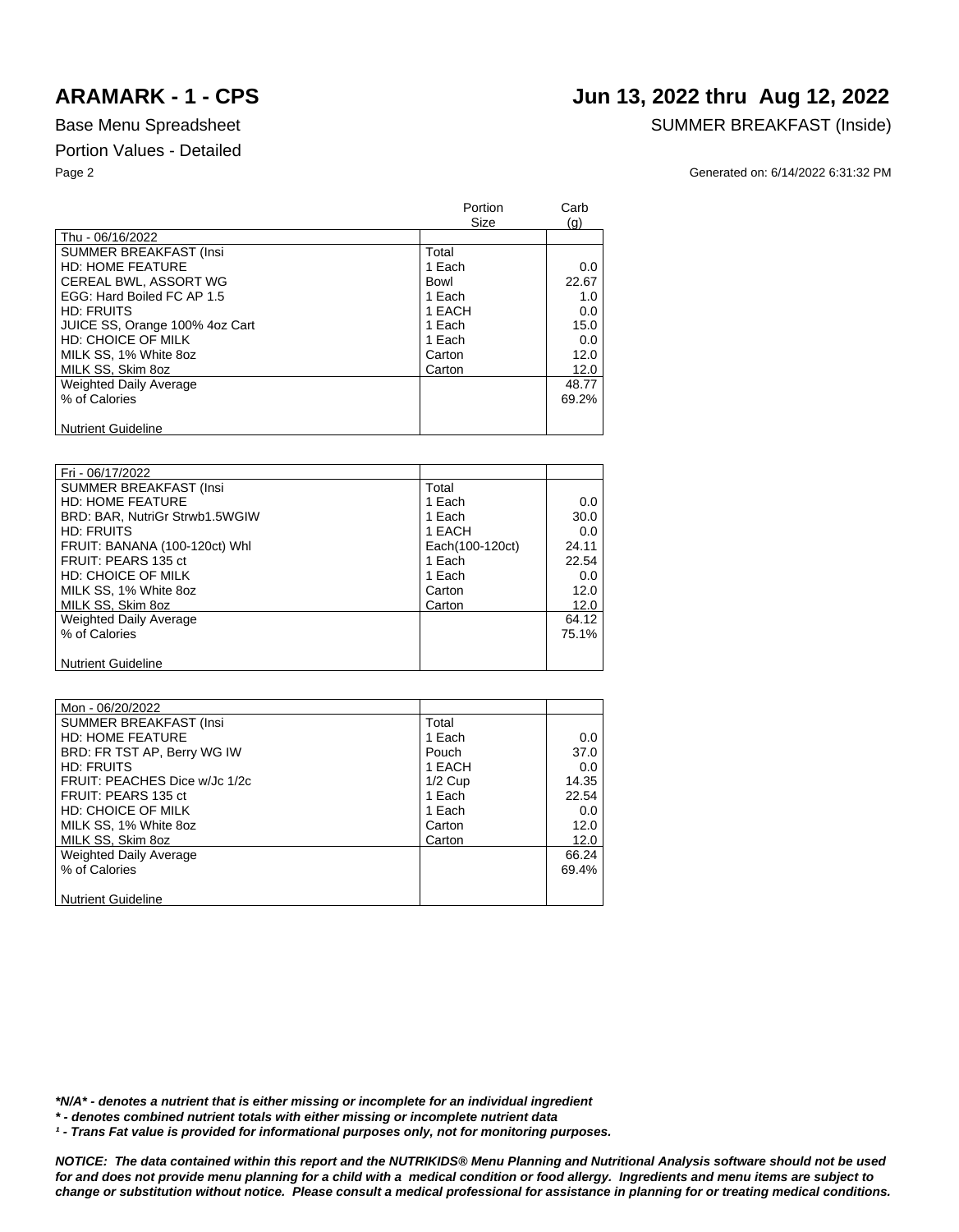# **ARAMARK - 1 - CPS Jun 13, 2022 thru Aug 12, 2022**

### Base Menu Spreadsheet SUMMER BREAKFAST (Inside)

### Page 2 Generated on: 6/14/2022 6:31:32 PM

|                                | Portion<br>Size | Carb<br>(q) |
|--------------------------------|-----------------|-------------|
| Thu - 06/16/2022               |                 |             |
| <b>SUMMER BREAKFAST (Insi</b>  | Total           |             |
| <b>HD: HOME FEATURE</b>        | 1 Each          | 0.0         |
| CEREAL BWL, ASSORT WG          | Bowl            | 22.67       |
| EGG: Hard Boiled FC AP 1.5     | 1 Each          | 1.0         |
| <b>HD: FRUITS</b>              | 1 EACH          | 0.0         |
| JUICE SS, Orange 100% 4oz Cart | 1 Each          | 15.0        |
| HD: CHOICE OF MILK             | 1 Each          | 0.0         |
| MILK SS, 1% White 8oz          | Carton          | 12.0        |
| MILK SS, Skim 8oz              | Carton          | 12.0        |
| <b>Weighted Daily Average</b>  |                 | 48.77       |
| % of Calories                  |                 | 69.2%       |
|                                |                 |             |
| <b>Nutrient Guideline</b>      |                 |             |

| Fri - 06/17/2022               |                 |       |
|--------------------------------|-----------------|-------|
| <b>SUMMER BREAKFAST (Insi</b>  | Total           |       |
| <b>HD: HOME FEATURE</b>        | 1 Each          | 0.0   |
| BRD: BAR, NutriGr Strwb1.5WGIW | 1 Each          | 30.0  |
| <b>HD: FRUITS</b>              | 1 EACH          | 0.0   |
| FRUIT: BANANA (100-120ct) Whl  | Each(100-120ct) | 24.11 |
| FRUIT: PEARS 135 ct            | 1 Each          | 22.54 |
| <b>HD: CHOICE OF MILK</b>      | 1 Each          | 0.0   |
| MILK SS, 1% White 8oz          | Carton          | 12.0  |
| MILK SS, Skim 8oz              | Carton          | 12.0  |
| <b>Weighted Daily Average</b>  |                 | 64.12 |
| % of Calories                  |                 | 75.1% |
|                                |                 |       |
| <b>Nutrient Guideline</b>      |                 |       |

| Mon - 06/20/2022              |           |       |
|-------------------------------|-----------|-------|
| <b>SUMMER BREAKFAST (Insi</b> | Total     |       |
| <b>HD: HOME FEATURE</b>       | 1 Each    | 0.0   |
| BRD: FR TST AP, Berry WG IW   | Pouch     | 37.0  |
| <b>HD: FRUITS</b>             | 1 EACH    | 0.0   |
| FRUIT: PEACHES Dice w/Jc 1/2c | $1/2$ Cup | 14.35 |
| FRUIT: PEARS 135 ct           | 1 Each    | 22.54 |
| HD: CHOICE OF MILK            | 1 Each    | 0.0   |
| MILK SS, 1% White 8oz         | Carton    | 12.0  |
| MILK SS, Skim 8oz             | Carton    | 12.0  |
| Weighted Daily Average        |           | 66.24 |
| % of Calories                 |           | 69.4% |
|                               |           |       |
| <b>Nutrient Guideline</b>     |           |       |

*\*N/A\* - denotes a nutrient that is either missing or incomplete for an individual ingredient*

*\* - denotes combined nutrient totals with either missing or incomplete nutrient data*

<sup>1</sup> - Trans Fat value is provided for informational purposes only, not for monitoring purposes.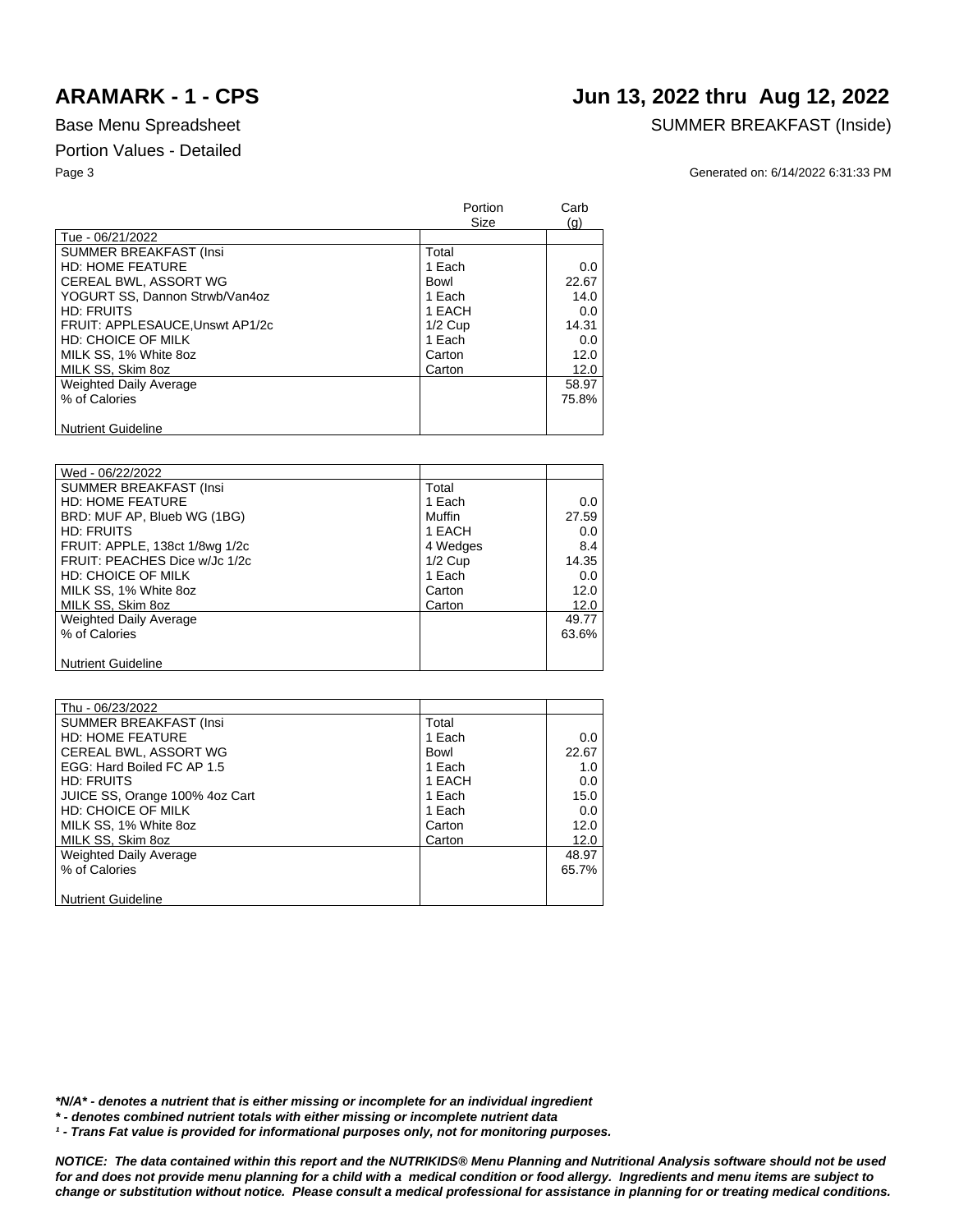# **ARAMARK - 1 - CPS Jun 13, 2022 thru Aug 12, 2022**

### Base Menu Spreadsheet SUMMER BREAKFAST (Inside)

Page 3 Generated on: 6/14/2022 6:31:33 PM

|                                | Portion<br>Size | Carb<br>(q) |
|--------------------------------|-----------------|-------------|
| Tue - 06/21/2022               |                 |             |
| <b>SUMMER BREAKFAST (Insi)</b> | Total           |             |
| <b>HD: HOME FEATURE</b>        | 1 Each          | 0.0         |
| CEREAL BWL, ASSORT WG          | Bowl            | 22.67       |
| YOGURT SS. Dannon Strwb/Van4oz | 1 Each          | 14.0        |
| <b>HD: FRUITS</b>              | 1 EACH          | 0.0         |
| FRUIT: APPLESAUCE.Unswt AP1/2c | $1/2$ Cup       | 14.31       |
| HD: CHOICE OF MILK             | 1 Each          | 0.0         |
| MILK SS, 1% White 8oz          | Carton          | 12.0        |
| MILK SS. Skim 8oz              | Carton          | 12.0        |
| <b>Weighted Daily Average</b>  |                 | 58.97       |
| % of Calories                  |                 | 75.8%       |
|                                |                 |             |
| <b>Nutrient Guideline</b>      |                 |             |

| Wed - 06/22/2022               |           |       |
|--------------------------------|-----------|-------|
| <b>SUMMER BREAKFAST (Insi</b>  | Total     |       |
| <b>HD: HOME FEATURE</b>        | 1 Each    | 0.0   |
| BRD: MUF AP, Blueb WG (1BG)    | Muffin    | 27.59 |
| <b>HD: FRUITS</b>              | 1 EACH    | 0.0   |
| FRUIT: APPLE, 138ct 1/8wg 1/2c | 4 Wedges  | 8.4   |
| FRUIT: PEACHES Dice w/Jc 1/2c  | $1/2$ Cup | 14.35 |
| HD: CHOICE OF MILK             | 1 Each    | 0.0   |
| MILK SS, 1% White 8oz          | Carton    | 12.0  |
| MILK SS, Skim 8oz              | Carton    | 12.0  |
| <b>Weighted Daily Average</b>  |           | 49.77 |
| % of Calories                  |           | 63.6% |
|                                |           |       |
| <b>Nutrient Guideline</b>      |           |       |

| Thu - 06/23/2022               |        |         |
|--------------------------------|--------|---------|
| <b>SUMMER BREAKFAST (Insi</b>  | Total  |         |
| <b>HD: HOME FEATURE</b>        | 1 Each | $0.0\,$ |
| CEREAL BWL, ASSORT WG          | Bowl   | 22.67   |
| EGG: Hard Boiled FC AP 1.5     | 1 Each | 1.0     |
| <b>HD: FRUITS</b>              | 1 EACH | $0.0\,$ |
| JUICE SS, Orange 100% 4oz Cart | 1 Each | 15.0    |
| <b>HD: CHOICE OF MILK</b>      | 1 Each | 0.0     |
| MILK SS, 1% White 8oz          | Carton | 12.0    |
| MILK SS, Skim 8oz              | Carton | 12.0    |
| <b>Weighted Daily Average</b>  |        | 48.97   |
| % of Calories                  |        | 65.7%   |
|                                |        |         |
| <b>Nutrient Guideline</b>      |        |         |

*\*N/A\* - denotes a nutrient that is either missing or incomplete for an individual ingredient*

*\* - denotes combined nutrient totals with either missing or incomplete nutrient data*

<sup>1</sup> - Trans Fat value is provided for informational purposes only, not for monitoring purposes.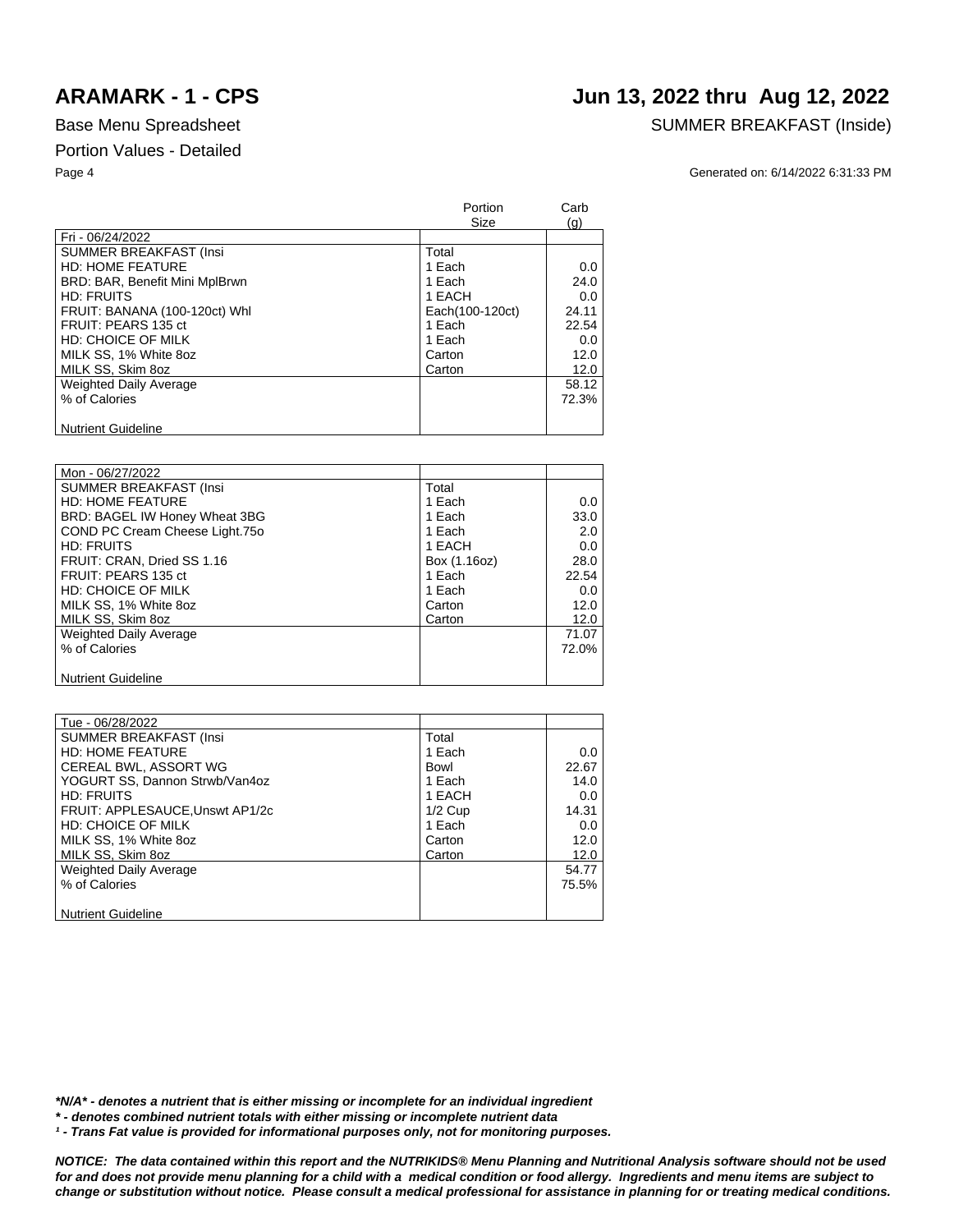# **ARAMARK - 1 - CPS Jun 13, 2022 thru Aug 12, 2022**

### Base Menu Spreadsheet SUMMER BREAKFAST (Inside)

Page 4 Generated on: 6/14/2022 6:31:33 PM

|                                | Portion<br>Size | Carb<br>(q) |
|--------------------------------|-----------------|-------------|
| Fri - 06/24/2022               |                 |             |
| <b>SUMMER BREAKFAST (Insi</b>  | Total           |             |
| <b>HD: HOME FEATURE</b>        | 1 Each          | 0.0         |
| BRD: BAR, Benefit Mini MplBrwn | 1 Each          | 24.0        |
| HD: FRUITS                     | 1 EACH          | 0.0         |
| FRUIT: BANANA (100-120ct) Whl  | Each(100-120ct) | 24.11       |
| FRUIT: PEARS 135 ct            | 1 Each          | 22.54       |
| HD: CHOICE OF MILK             | 1 Each          | 0.0         |
| MILK SS, 1% White 8oz          | Carton          | 12.0        |
| MILK SS. Skim 8oz              | Carton          | 12.0        |
| <b>Weighted Daily Average</b>  |                 | 58.12       |
| % of Calories                  |                 | 72.3%       |
|                                |                 |             |
| <b>Nutrient Guideline</b>      |                 |             |

| Mon - 06/27/2022               |              |       |
|--------------------------------|--------------|-------|
| <b>SUMMER BREAKFAST (Insi</b>  | Total        |       |
| <b>HD: HOME FEATURE</b>        | 1 Each       | 0.0   |
| BRD: BAGEL IW Honey Wheat 3BG  | 1 Each       | 33.0  |
| COND PC Cream Cheese Light.750 | 1 Each       | 2.0   |
| <b>HD: FRUITS</b>              | 1 EACH       | 0.0   |
| FRUIT: CRAN, Dried SS 1.16     | Box (1.16oz) | 28.0  |
| FRUIT: PEARS 135 ct            | 1 Each       | 22.54 |
| HD: CHOICE OF MILK             | 1 Each       | 0.0   |
| MILK SS, 1% White 8oz          | Carton       | 12.0  |
| MILK SS, Skim 8oz              | Carton       | 12.0  |
| <b>Weighted Daily Average</b>  |              | 71.07 |
| % of Calories                  |              | 72.0% |
|                                |              |       |
| <b>Nutrient Guideline</b>      |              |       |

| Tue - 06/28/2022                |           |       |
|---------------------------------|-----------|-------|
| SUMMER BREAKFAST (Insi          | Total     |       |
| <b>HD: HOME FEATURE</b>         | 1 Each    | 0.0   |
| CEREAL BWL, ASSORT WG           | Bowl      | 22.67 |
| YOGURT SS, Dannon Strwb/Van4oz  | 1 Each    | 14.0  |
| <b>HD: FRUITS</b>               | 1 EACH    | 0.0   |
| FRUIT: APPLESAUCE, Unswt AP1/2c | $1/2$ Cup | 14.31 |
| <b>HD: CHOICE OF MILK</b>       | 1 Each    | 0.0   |
| MILK SS, 1% White 8oz           | Carton    | 12.0  |
| MILK SS, Skim 8oz               | Carton    | 12.0  |
| <b>Weighted Daily Average</b>   |           | 54.77 |
| % of Calories                   |           | 75.5% |
|                                 |           |       |
| <b>Nutrient Guideline</b>       |           |       |

*\*N/A\* - denotes a nutrient that is either missing or incomplete for an individual ingredient*

*\* - denotes combined nutrient totals with either missing or incomplete nutrient data*

*¹ - Trans Fat value is provided for informational purposes only, not for monitoring purposes.*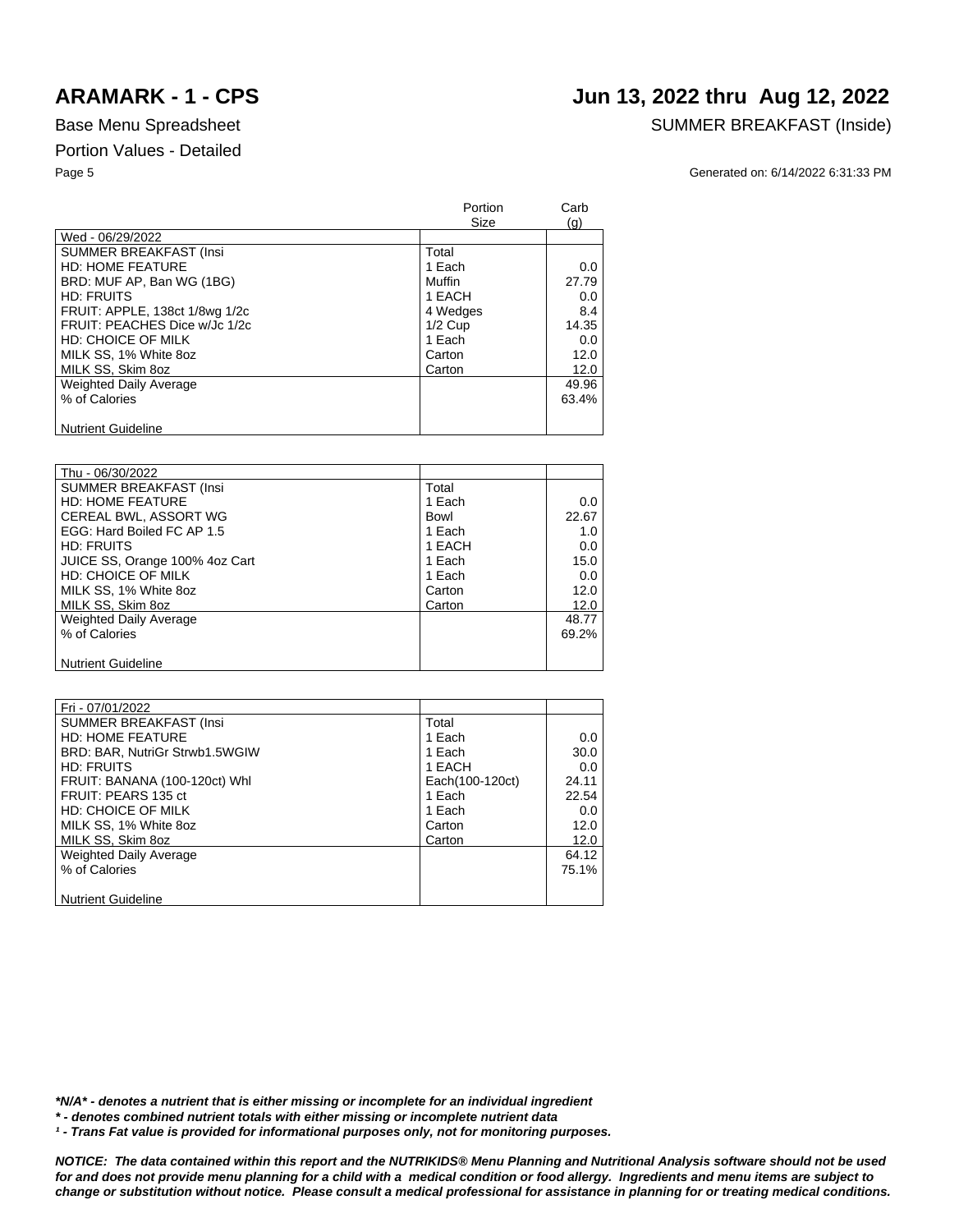# **ARAMARK - 1 - CPS Jun 13, 2022 thru Aug 12, 2022**

## Base Menu Spreadsheet SUMMER BREAKFAST (Inside)

Page 5 Generated on: 6/14/2022 6:31:33 PM

|                                | Portion<br>Size | Carb<br>(q) |
|--------------------------------|-----------------|-------------|
| Wed - 06/29/2022               |                 |             |
| <b>SUMMER BREAKFAST (Insi</b>  | Total           |             |
| <b>HD: HOME FEATURE</b>        | 1 Each          | 0.0         |
| BRD: MUF AP, Ban WG (1BG)      | Muffin          | 27.79       |
| HD: FRUITS                     | 1 EACH          | 0.0         |
| FRUIT: APPLE, 138ct 1/8wg 1/2c | 4 Wedges        | 8.4         |
| FRUIT: PEACHES Dice w/Jc 1/2c  | $1/2$ Cup       | 14.35       |
| <b>HD: CHOICE OF MILK</b>      | 1 Each          | 0.0         |
| MILK SS, 1% White 8oz          | Carton          | 12.0        |
| MILK SS, Skim 8oz              | Carton          | 12.0        |
| <b>Weighted Daily Average</b>  |                 | 49.96       |
| % of Calories                  |                 | 63.4%       |
|                                |                 |             |
| <b>Nutrient Guideline</b>      |                 |             |

| Thu - 06/30/2022               |        |       |
|--------------------------------|--------|-------|
| <b>SUMMER BREAKFAST (Insi</b>  | Total  |       |
| <b>HD: HOME FEATURE</b>        | 1 Each | 0.0   |
| CEREAL BWL, ASSORT WG          | Bowl   | 22.67 |
| EGG: Hard Boiled FC AP 1.5     | 1 Each | 1.0   |
| HD: FRUITS                     | 1 EACH | 0.0   |
| JUICE SS, Orange 100% 4oz Cart | 1 Each | 15.0  |
| HD: CHOICE OF MILK             | 1 Each | 0.0   |
| MILK SS, 1% White 8oz          | Carton | 12.0  |
| MILK SS, Skim 8oz              | Carton | 12.0  |
| <b>Weighted Daily Average</b>  |        | 48.77 |
| % of Calories                  |        | 69.2% |
|                                |        |       |
| <b>Nutrient Guideline</b>      |        |       |

| Fri - 07/01/2022               |                 |       |
|--------------------------------|-----------------|-------|
| <b>SUMMER BREAKFAST (Insi</b>  | Total           |       |
| <b>HD: HOME FEATURE</b>        | 1 Each          | 0.0   |
| BRD: BAR, NutriGr Strwb1.5WGIW | 1 Each          | 30.0  |
| HD: FRUITS                     | 1 EACH          | 0.0   |
| FRUIT: BANANA (100-120ct) Whl  | Each(100-120ct) | 24.11 |
| FRUIT: PEARS 135 ct            | 1 Each          | 22.54 |
| <b>HD: CHOICE OF MILK</b>      | 1 Each          | 0.0   |
| MILK SS, 1% White 8oz          | Carton          | 12.0  |
| MILK SS, Skim 8oz              | Carton          | 12.0  |
| Weighted Daily Average         |                 | 64.12 |
| % of Calories                  |                 | 75.1% |
|                                |                 |       |
| <b>Nutrient Guideline</b>      |                 |       |

*\*N/A\* - denotes a nutrient that is either missing or incomplete for an individual ingredient*

*\* - denotes combined nutrient totals with either missing or incomplete nutrient data*

<sup>1</sup> - Trans Fat value is provided for informational purposes only, not for monitoring purposes.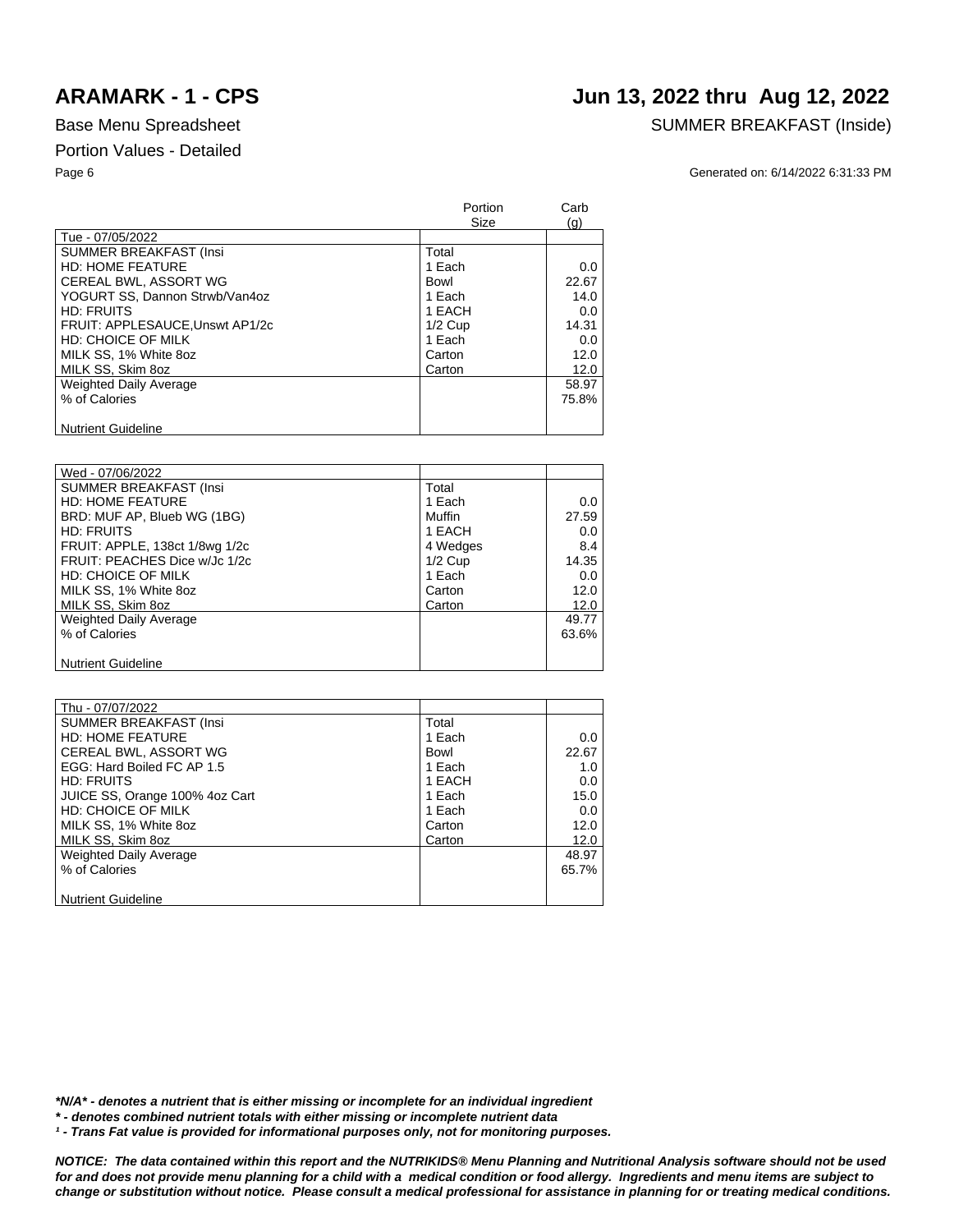# **ARAMARK - 1 - CPS Jun 13, 2022 thru Aug 12, 2022**

### Base Menu Spreadsheet SUMMER BREAKFAST (Inside)

Page 6 Generated on: 6/14/2022 6:31:33 PM

|                                 | Portion<br>Size | Carb          |
|---------------------------------|-----------------|---------------|
| Tue - 07/05/2022                |                 | (q)           |
| <b>SUMMER BREAKFAST (Insi</b>   | Total           |               |
| <b>HD: HOME FEATURE</b>         | 1 Each          | 0.0           |
| <b>CEREAL BWL, ASSORT WG</b>    | Bowl            | 22.67         |
| YOGURT SS, Dannon Strwb/Van4oz  | 1 Each          | 14.0          |
| <b>HD: FRUITS</b>               | 1 EACH          | 0.0           |
| FRUIT: APPLESAUCE, Unswt AP1/2c | $1/2$ Cup       | 14.31         |
| HD: CHOICE OF MILK              | 1 Each          | $0.0^{\circ}$ |
| MILK SS, 1% White 8oz           | Carton          | 12.0          |
| MILK SS. Skim 8oz               | Carton          | 12.0          |
| <b>Weighted Daily Average</b>   |                 | 58.97         |
| % of Calories                   |                 | 75.8%         |
|                                 |                 |               |
| <b>Nutrient Guideline</b>       |                 |               |

| Wed - 07/06/2022               |           |            |
|--------------------------------|-----------|------------|
| <b>SUMMER BREAKFAST (Insi</b>  | Total     |            |
| <b>HD: HOME FEATURE</b>        | 1 Each    | $0.0 \mid$ |
| BRD: MUF AP, Blueb WG (1BG)    | Muffin    | 27.59      |
| <b>HD: FRUITS</b>              | 1 EACH    | 0.0        |
| FRUIT: APPLE, 138ct 1/8wg 1/2c | 4 Wedges  | 8.4        |
| FRUIT: PEACHES Dice w/Jc 1/2c  | $1/2$ Cup | 14.35      |
| <b>HD: CHOICE OF MILK</b>      | 1 Each    | 0.0        |
| MILK SS, 1% White 8oz          | Carton    | 12.0       |
| MILK SS, Skim 8oz              | Carton    | 12.0       |
| <b>Weighted Daily Average</b>  |           | 49.77      |
| % of Calories                  |           | $63.6\%$   |
|                                |           |            |
| <b>Nutrient Guideline</b>      |           |            |

| Thu - 07/07/2022               |        |              |
|--------------------------------|--------|--------------|
| <b>SUMMER BREAKFAST (Insi</b>  | Total  |              |
| <b>HD: HOME FEATURE</b>        | 1 Each | $0.0\degree$ |
| CEREAL BWL, ASSORT WG          | Bowl   | 22.67        |
| EGG: Hard Boiled FC AP 1.5     | 1 Each | 1.0          |
| HD: FRUITS                     | 1 EACH | 0.0          |
| JUICE SS, Orange 100% 4oz Cart | 1 Each | 15.0         |
| HD: CHOICE OF MILK             | 1 Each | 0.0          |
| MILK SS, 1% White 8oz          | Carton | 12.0         |
| MILK SS, Skim 8oz              | Carton | 12.0         |
| <b>Weighted Daily Average</b>  |        | 48.97        |
| % of Calories                  |        | 65.7%        |
|                                |        |              |
| <b>Nutrient Guideline</b>      |        |              |

*\*N/A\* - denotes a nutrient that is either missing or incomplete for an individual ingredient*

*\* - denotes combined nutrient totals with either missing or incomplete nutrient data*

<sup>1</sup> - Trans Fat value is provided for informational purposes only, not for monitoring purposes.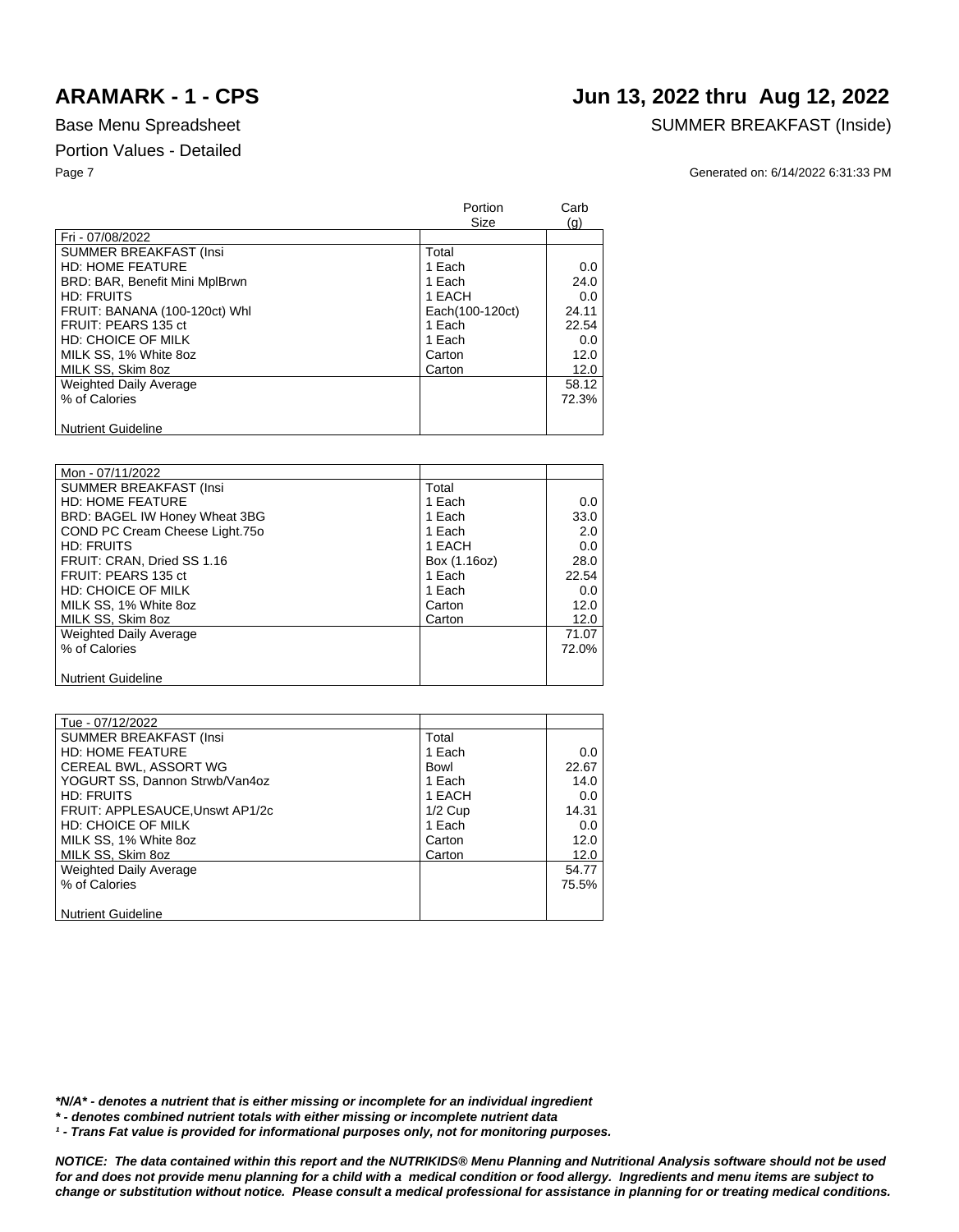## **ARAMARK - 1 - CPS Jun 13, 2022 thru Aug 12, 2022**

### Base Menu Spreadsheet SUMMER BREAKFAST (Inside)

Page 7 Generated on: 6/14/2022 6:31:33 PM

|                                | Portion<br>Size | Carb<br>(q) |
|--------------------------------|-----------------|-------------|
| Fri - 07/08/2022               |                 |             |
| <b>SUMMER BREAKFAST (Insi</b>  | Total           |             |
| <b>HD: HOME FEATURE</b>        | 1 Each          | 0.0         |
| BRD: BAR, Benefit Mini MplBrwn | 1 Each          | 24.0        |
| HD: FRUITS                     | 1 EACH          | 0.0         |
| FRUIT: BANANA (100-120ct) Whl  | Each(100-120ct) | 24.11       |
| FRUIT: PEARS 135 ct            | 1 Each          | 22.54       |
| HD: CHOICE OF MILK             | 1 Each          | 0.0         |
| MILK SS, 1% White 8oz          | Carton          | 12.0        |
| MILK SS. Skim 8oz              | Carton          | 12.0        |
| <b>Weighted Daily Average</b>  |                 | 58.12       |
| % of Calories                  |                 | 72.3%       |
|                                |                 |             |
| <b>Nutrient Guideline</b>      |                 |             |

| Mon - 07/11/2022               |              |       |
|--------------------------------|--------------|-------|
| <b>SUMMER BREAKFAST (Insi</b>  | Total        |       |
| <b>HD: HOME FEATURE</b>        | 1 Each       | 0.0   |
| BRD: BAGEL IW Honey Wheat 3BG  | 1 Each       | 33.0  |
| COND PC Cream Cheese Light.750 | 1 Each       | 2.0   |
| <b>HD: FRUITS</b>              | 1 EACH       | 0.0   |
| FRUIT: CRAN, Dried SS 1.16     | Box (1.16oz) | 28.0  |
| FRUIT: PEARS 135 ct            | 1 Each       | 22.54 |
| HD: CHOICE OF MILK             | 1 Each       | 0.0   |
| MILK SS, 1% White 8oz          | Carton       | 12.0  |
| MILK SS, Skim 8oz              | Carton       | 12.0  |
| <b>Weighted Daily Average</b>  |              | 71.07 |
| % of Calories                  |              | 72.0% |
|                                |              |       |
| <b>Nutrient Guideline</b>      |              |       |

| Tue - 07/12/2022                |           |       |
|---------------------------------|-----------|-------|
| SUMMER BREAKFAST (Insi          | Total     |       |
| <b>HD: HOME FEATURE</b>         | 1 Each    | 0.0   |
| CEREAL BWL, ASSORT WG           | Bowl      | 22.67 |
| YOGURT SS, Dannon Strwb/Van4oz  | 1 Each    | 14.0  |
| <b>HD: FRUITS</b>               | 1 EACH    | 0.0   |
| FRUIT: APPLESAUCE, Unswt AP1/2c | $1/2$ Cup | 14.31 |
| <b>HD: CHOICE OF MILK</b>       | 1 Each    | 0.0   |
| MILK SS, 1% White 8oz           | Carton    | 12.0  |
| MILK SS, Skim 8oz               | Carton    | 12.0  |
| <b>Weighted Daily Average</b>   |           | 54.77 |
| % of Calories                   |           | 75.5% |
|                                 |           |       |
| <b>Nutrient Guideline</b>       |           |       |

*\*N/A\* - denotes a nutrient that is either missing or incomplete for an individual ingredient*

*\* - denotes combined nutrient totals with either missing or incomplete nutrient data*

*¹ - Trans Fat value is provided for informational purposes only, not for monitoring purposes.*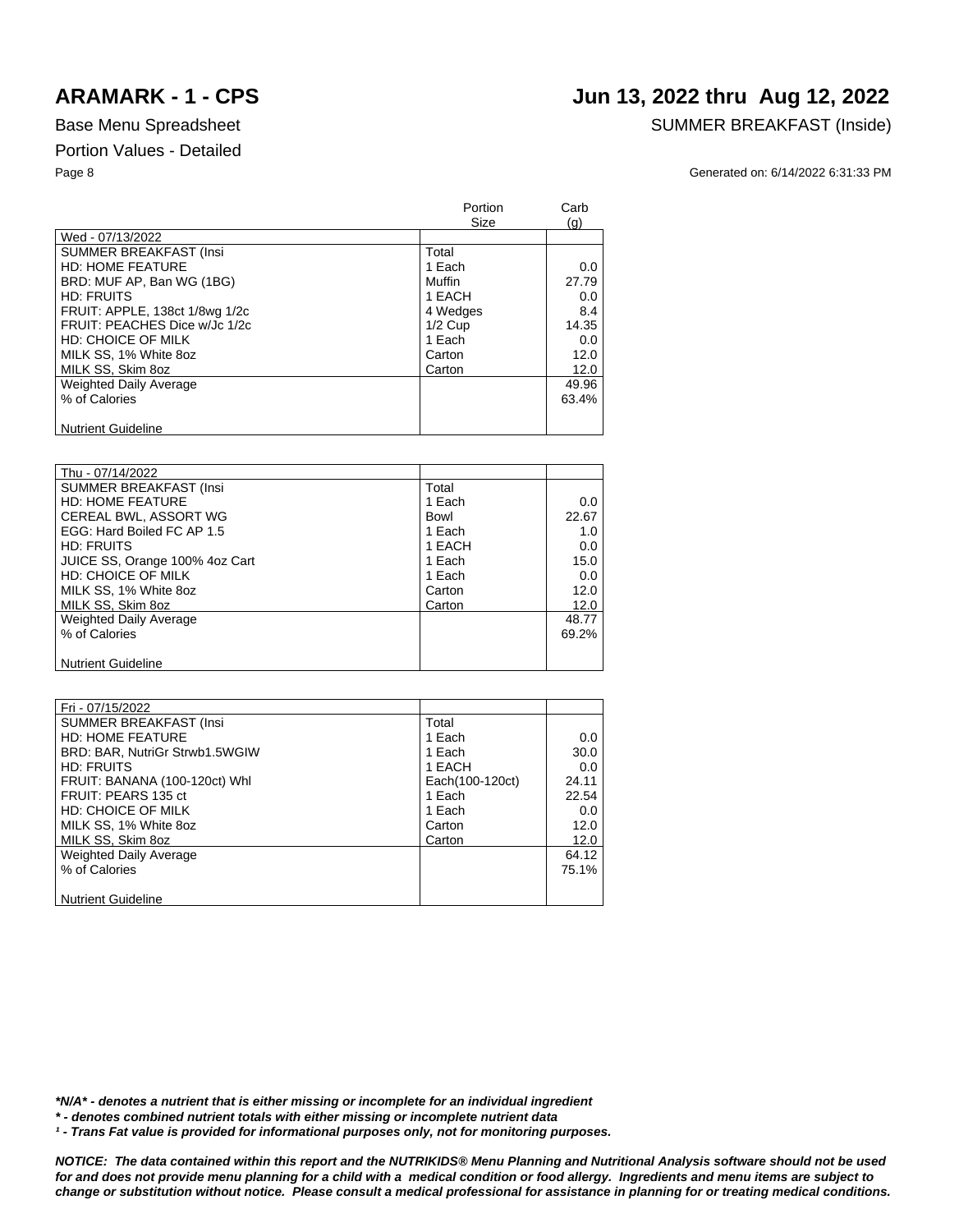# **ARAMARK - 1 - CPS Jun 13, 2022 thru Aug 12, 2022**

### Base Menu Spreadsheet SUMMER BREAKFAST (Inside)

Page 8 Generated on: 6/14/2022 6:31:33 PM

|                                | Portion<br>Size | Carb<br>(q) |
|--------------------------------|-----------------|-------------|
| Wed - 07/13/2022               |                 |             |
| <b>SUMMER BREAKFAST (Insi</b>  | Total           |             |
| <b>HD: HOME FEATURE</b>        | 1 Each          | 0.0         |
| BRD: MUF AP, Ban WG (1BG)      | Muffin          | 27.79       |
| HD: FRUITS                     | 1 EACH          | 0.0         |
| FRUIT: APPLE, 138ct 1/8wg 1/2c | 4 Wedges        | 8.4         |
| FRUIT: PEACHES Dice w/Jc 1/2c  | $1/2$ Cup       | 14.35       |
| HD: CHOICE OF MILK             | 1 Each          | 0.0         |
| MILK SS, 1% White 8oz          | Carton          | 12.0        |
| MILK SS, Skim 8oz              | Carton          | 12.0        |
| Weighted Daily Average         |                 | 49.96       |
| % of Calories                  |                 | 63.4%       |
|                                |                 |             |
| <b>Nutrient Guideline</b>      |                 |             |

| Thu - 07/14/2022               |        |       |
|--------------------------------|--------|-------|
| <b>SUMMER BREAKFAST (Insi</b>  | Total  |       |
| <b>HD: HOME FEATURE</b>        | 1 Each | 0.0   |
| CEREAL BWL, ASSORT WG          | Bowl   | 22.67 |
| EGG: Hard Boiled FC AP 1.5     | 1 Each | 1.0   |
| HD: FRUITS                     | 1 EACH | 0.0   |
| JUICE SS, Orange 100% 4oz Cart | 1 Each | 15.0  |
| <b>HD: CHOICE OF MILK</b>      | 1 Each | 0.0   |
| MILK SS, 1% White 8oz          | Carton | 12.0  |
| MILK SS, Skim 8oz              | Carton | 12.0  |
| <b>Weighted Daily Average</b>  |        | 48.77 |
| % of Calories                  |        | 69.2% |
|                                |        |       |
| <b>Nutrient Guideline</b>      |        |       |

| Fri - 07/15/2022               |                 |          |
|--------------------------------|-----------------|----------|
| <b>SUMMER BREAKFAST (Insi</b>  | Total           |          |
| <b>HD: HOME FEATURE</b>        | 1 Each          | 0.0      |
| BRD: BAR, NutriGr Strwb1.5WGIW | 1 Each          | 30.0     |
| HD: FRUITS                     | 1 EACH          | 0.0      |
| FRUIT: BANANA (100-120ct) Whl  | Each(100-120ct) | 24.11    |
| FRUIT: PEARS 135 ct            | 1 Each          | 22.54    |
| <b>HD: CHOICE OF MILK</b>      | 1 Each          | 0.0      |
| MILK SS, 1% White 8oz          | Carton          | 12.0     |
| MILK SS, Skim 8oz              | Carton          | 12.0     |
| <b>Weighted Daily Average</b>  |                 | 64.12    |
| % of Calories                  |                 | $75.1\%$ |
|                                |                 |          |
| <b>Nutrient Guideline</b>      |                 |          |

*\*N/A\* - denotes a nutrient that is either missing or incomplete for an individual ingredient*

*\* - denotes combined nutrient totals with either missing or incomplete nutrient data*

<sup>1</sup> - Trans Fat value is provided for informational purposes only, not for monitoring purposes.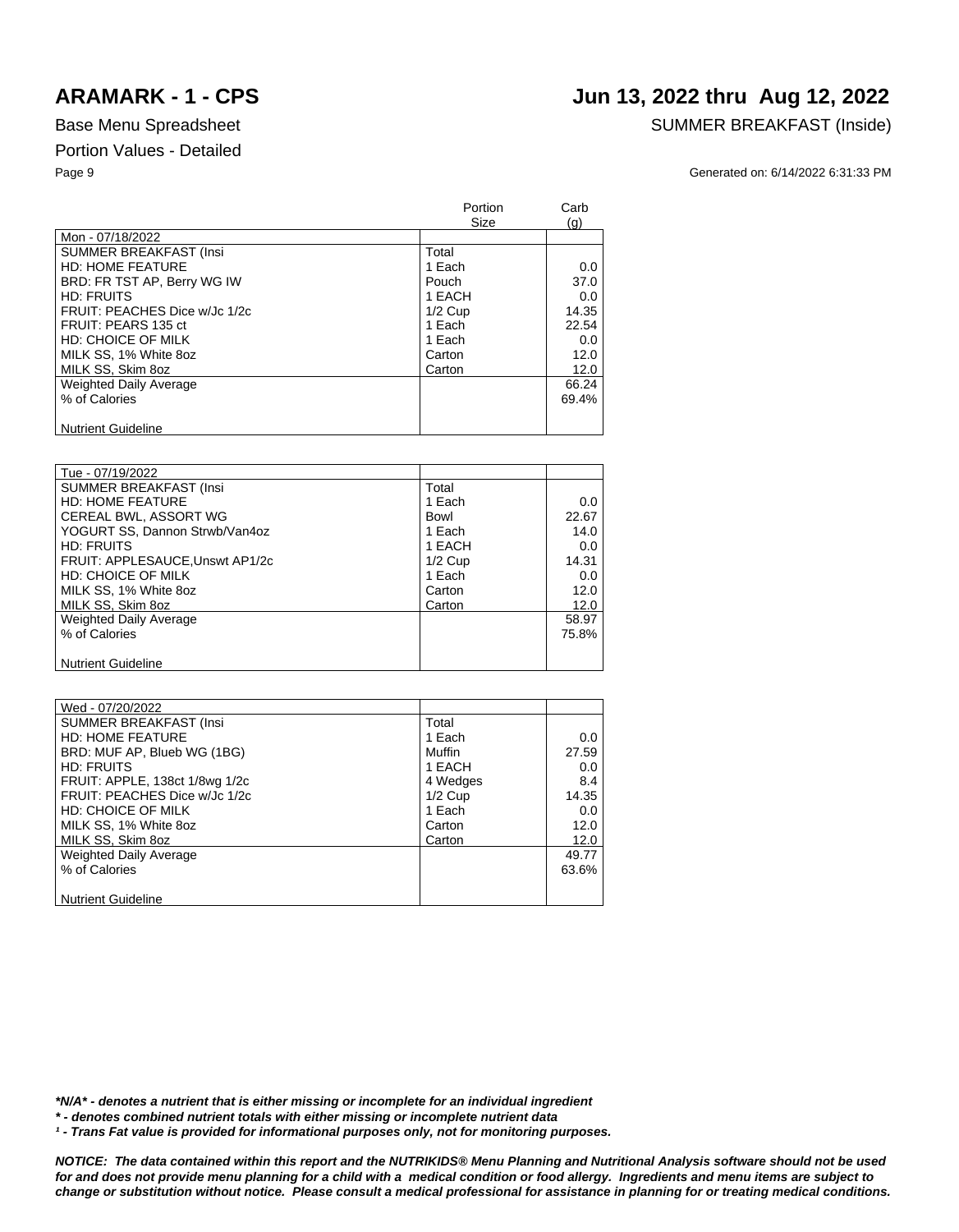# **ARAMARK - 1 - CPS Jun 13, 2022 thru Aug 12, 2022**

Base Menu Spreadsheet SUMMER BREAKFAST (Inside)

Page 9 Generated on: 6/14/2022 6:31:33 PM

|                               | <b>Portion</b><br>Size | Carb<br>(q) |
|-------------------------------|------------------------|-------------|
| Mon - 07/18/2022              |                        |             |
| <b>SUMMER BREAKFAST (Insi</b> | Total                  |             |
| <b>HD: HOME FEATURE</b>       | 1 Each                 | 0.0         |
| BRD: FR TST AP, Berry WG IW   | Pouch                  | 37.0        |
| HD: FRUITS                    | 1 EACH                 | 0.0         |
| FRUIT: PEACHES Dice w/Jc 1/2c | $1/2$ Cup              | 14.35       |
| FRUIT: PEARS 135 ct           | 1 Each                 | 22.54       |
| HD: CHOICE OF MILK            | 1 Each                 | 0.0         |
| MILK SS, 1% White 8oz         | Carton                 | 12.0        |
| MILK SS, Skim 8oz             | Carton                 | 12.0        |
| <b>Weighted Daily Average</b> |                        | 66.24       |
| % of Calories                 |                        | 69.4%       |
|                               |                        |             |
| <b>Nutrient Guideline</b>     |                        |             |

| Tue - 07/19/2022                |           |       |
|---------------------------------|-----------|-------|
| <b>SUMMER BREAKFAST (Insi</b>   | Total     |       |
| <b>HD: HOME FEATURE</b>         | 1 Each    | 0.0   |
| CEREAL BWL, ASSORT WG           | Bowl      | 22.67 |
| YOGURT SS, Dannon Strwb/Van4oz  | 1 Each    | 14.0  |
| <b>HD: FRUITS</b>               | 1 EACH    | 0.0   |
| FRUIT: APPLESAUCE, Unswt AP1/2c | $1/2$ Cup | 14.31 |
| <b>HD: CHOICE OF MILK</b>       | 1 Each    | 0.0   |
| MILK SS, 1% White 8oz           | Carton    | 12.0  |
| MILK SS, Skim 8oz               | Carton    | 12.0  |
| <b>Weighted Daily Average</b>   |           | 58.97 |
| % of Calories                   |           | 75.8% |
|                                 |           |       |
| <b>Nutrient Guideline</b>       |           |       |

| Wed - 07/20/2022               |           |            |
|--------------------------------|-----------|------------|
| <b>SUMMER BREAKFAST (Insi</b>  | Total     |            |
| <b>HD: HOME FEATURE</b>        | 1 Each    | 0.0        |
| BRD: MUF AP, Blueb WG (1BG)    | Muffin    | 27.59      |
| <b>HD: FRUITS</b>              | 1 EACH    | $0.0 \mid$ |
| FRUIT: APPLE, 138ct 1/8wg 1/2c | 4 Wedges  | 8.4        |
| FRUIT: PEACHES Dice w/Jc 1/2c  | $1/2$ Cup | 14.35      |
| HD: CHOICE OF MILK             | 1 Each    | 0.0        |
| MILK SS, 1% White 8oz          | Carton    | 12.0       |
| MILK SS, Skim 8oz              | Carton    | 12.0       |
| <b>Weighted Daily Average</b>  |           | 49.77      |
| % of Calories                  |           | 63.6%      |
|                                |           |            |
| <b>Nutrient Guideline</b>      |           |            |

*\*N/A\* - denotes a nutrient that is either missing or incomplete for an individual ingredient*

*\* - denotes combined nutrient totals with either missing or incomplete nutrient data*

<sup>1</sup> - Trans Fat value is provided for informational purposes only, not for monitoring purposes.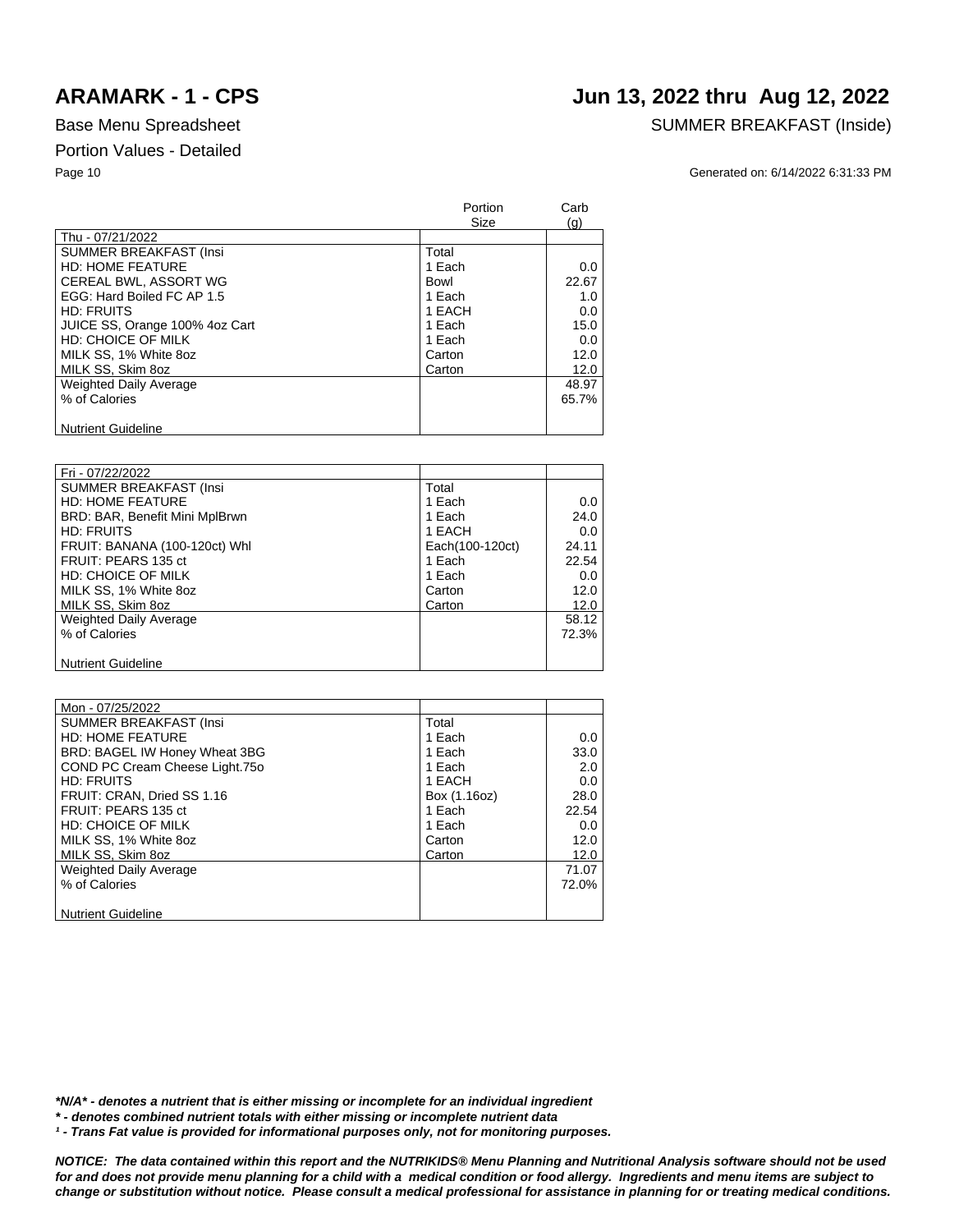## **ARAMARK - 1 - CPS Jun 13, 2022 thru Aug 12, 2022**

## Base Menu Spreadsheet SUMMER BREAKFAST (Inside)

### Page 10 Generated on: 6/14/2022 6:31:33 PM

|                                | Portion<br>Size | Carb<br>(q) |
|--------------------------------|-----------------|-------------|
| Thu - 07/21/2022               |                 |             |
| <b>SUMMER BREAKFAST (Insi</b>  | Total           |             |
| <b>HD: HOME FEATURE</b>        | 1 Each          | 0.0         |
| CEREAL BWL, ASSORT WG          | Bowl            | 22.67       |
| EGG: Hard Boiled FC AP 1.5     | 1 Each          | 1.0         |
| HD: FRUITS                     | 1 EACH          | 0.0         |
| JUICE SS, Orange 100% 4oz Cart | 1 Each          | 15.0        |
| HD: CHOICE OF MILK             | 1 Each          | 0.0         |
| MILK SS, 1% White 8oz          | Carton          | 12.0        |
| MILK SS, Skim 8oz              | Carton          | 12.0        |
| <b>Weighted Daily Average</b>  |                 | 48.97       |
| % of Calories                  |                 | 65.7%       |
|                                |                 |             |
| <b>Nutrient Guideline</b>      |                 |             |

| Fri - 07/22/2022               |                 |       |
|--------------------------------|-----------------|-------|
| <b>SUMMER BREAKFAST (Insi</b>  | Total           |       |
| <b>HD: HOME FEATURE</b>        | 1 Each          | 0.0   |
| BRD: BAR, Benefit Mini MplBrwn | 1 Each          | 24.0  |
| <b>HD: FRUITS</b>              | 1 EACH          | 0.0   |
| FRUIT: BANANA (100-120ct) Whl  | Each(100-120ct) | 24.11 |
| FRUIT: PEARS 135 ct            | 1 Each          | 22.54 |
| <b>HD: CHOICE OF MILK</b>      | 1 Each          | 0.0   |
| MILK SS, 1% White 8oz          | Carton          | 12.0  |
| MILK SS, Skim 8oz              | Carton          | 12.0  |
| Weighted Daily Average         |                 | 58.12 |
| % of Calories                  |                 | 72.3% |
|                                |                 |       |
| <b>Nutrient Guideline</b>      |                 |       |

| Mon - 07/25/2022               |              |       |
|--------------------------------|--------------|-------|
| <b>SUMMER BREAKFAST (Insi</b>  | Total        |       |
| <b>HD: HOME FEATURE</b>        | 1 Each       | 0.0   |
| BRD: BAGEL IW Honey Wheat 3BG  | 1 Each       | 33.0  |
| COND PC Cream Cheese Light.750 | 1 Each       | 2.0   |
| <b>HD: FRUITS</b>              | 1 EACH       | 0.0   |
| FRUIT: CRAN, Dried SS 1.16     | Box (1.16oz) | 28.0  |
| FRUIT: PEARS 135 ct            | 1 Each       | 22.54 |
| <b>HD: CHOICE OF MILK</b>      | 1 Each       | 0.0   |
| MILK SS, 1% White 8oz          | Carton       | 12.0  |
| MILK SS, Skim 8oz              | Carton       | 12.0  |
| Weighted Daily Average         |              | 71.07 |
| % of Calories                  |              | 72.0% |
|                                |              |       |
| <b>Nutrient Guideline</b>      |              |       |

*\*N/A\* - denotes a nutrient that is either missing or incomplete for an individual ingredient*

*\* - denotes combined nutrient totals with either missing or incomplete nutrient data*

*¹ - Trans Fat value is provided for informational purposes only, not for monitoring purposes.*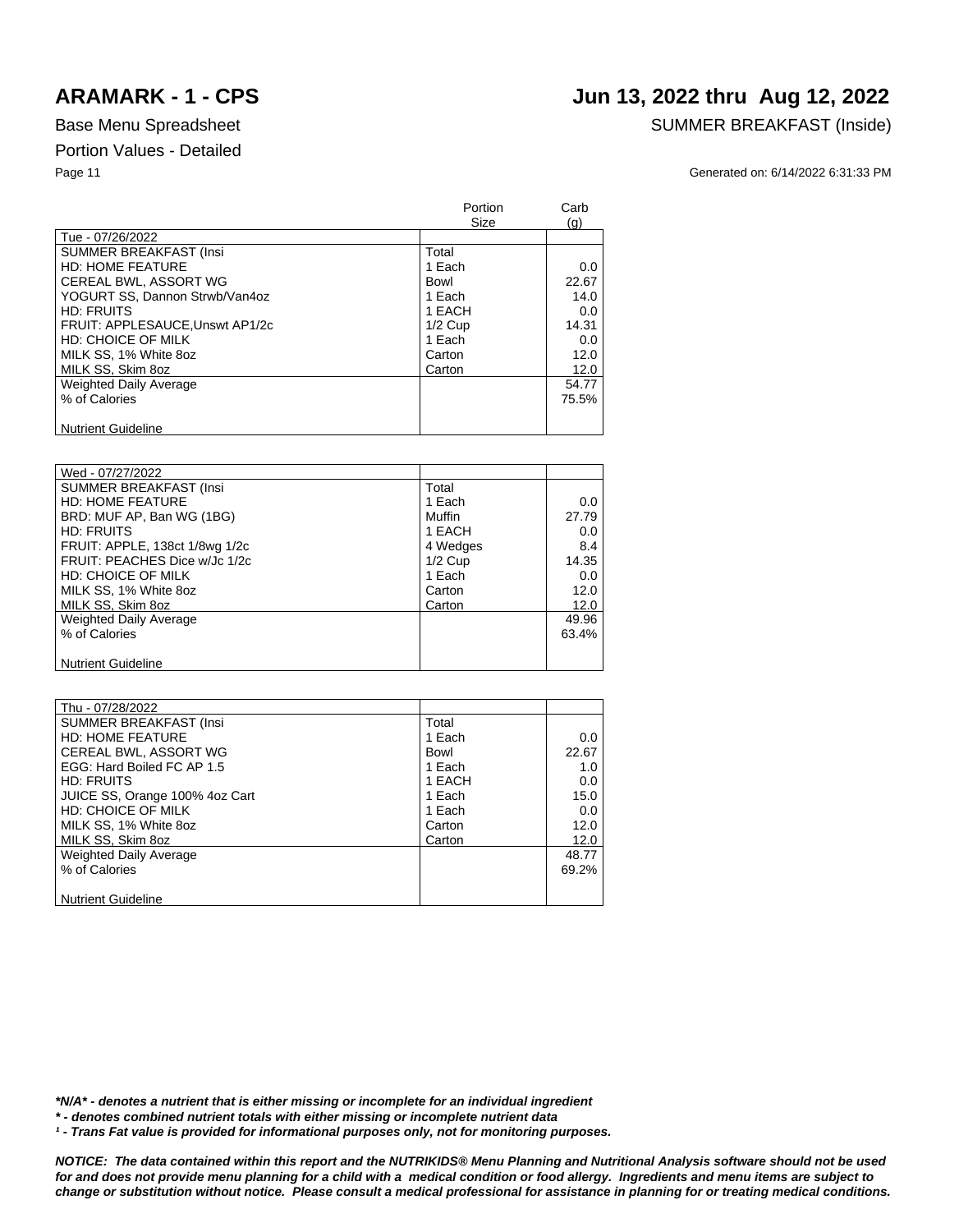# **ARAMARK - 1 - CPS Jun 13, 2022 thru Aug 12, 2022**

## Base Menu Spreadsheet SUMMER BREAKFAST (Inside)

Page 11 Generated on: 6/14/2022 6:31:33 PM

|                                 | Portion<br>Size | Carb<br>(q) |
|---------------------------------|-----------------|-------------|
| Tue - 07/26/2022                |                 |             |
| <b>SUMMER BREAKFAST (Insi</b>   | Total           |             |
| <b>HD: HOME FEATURE</b>         | 1 Each          | 0.0         |
| CEREAL BWL, ASSORT WG           | Bowl            | 22.67       |
| YOGURT SS. Dannon Strwb/Van4oz  | 1 Each          | 14.0        |
| <b>HD: FRUITS</b>               | 1 EACH          | $0.0\,$     |
| FRUIT: APPLESAUCE, Unswt AP1/2c | $1/2$ Cup       | 14.31       |
| <b>HD: CHOICE OF MILK</b>       | 1 Each          | 0.0         |
| MILK SS, 1% White 8oz           | Carton          | 12.0        |
| MILK SS, Skim 8oz               | Carton          | 12.0        |
| <b>Weighted Daily Average</b>   |                 | 54.77       |
| % of Calories                   |                 | 75.5%       |
|                                 |                 |             |
| <b>Nutrient Guideline</b>       |                 |             |

| Wed - 07/27/2022               |           |       |
|--------------------------------|-----------|-------|
| <b>SUMMER BREAKFAST (Insi</b>  | Total     |       |
| <b>HD: HOME FEATURE</b>        | 1 Each    | 0.0   |
| BRD: MUF AP, Ban WG (1BG)      | Muffin    | 27.79 |
| <b>HD: FRUITS</b>              | 1 EACH    | 0.0   |
| FRUIT: APPLE, 138ct 1/8wg 1/2c | 4 Wedges  | 8.4   |
| FRUIT: PEACHES Dice w/Jc 1/2c  | $1/2$ Cup | 14.35 |
| HD: CHOICE OF MILK             | 1 Each    | 0.0   |
| MILK SS, 1% White 8oz          | Carton    | 12.0  |
| MILK SS, Skim 8oz              | Carton    | 12.0  |
| <b>Weighted Daily Average</b>  |           | 49.96 |
| % of Calories                  |           | 63.4% |
|                                |           |       |
| <b>Nutrient Guideline</b>      |           |       |

| Thu - 07/28/2022               |        |       |
|--------------------------------|--------|-------|
| <b>SUMMER BREAKFAST (Insi</b>  | Total  |       |
| <b>HD: HOME FEATURE</b>        | 1 Each | 0.0   |
| CEREAL BWL, ASSORT WG          | Bowl   | 22.67 |
| EGG: Hard Boiled FC AP 1.5     | 1 Each | 1.0   |
| HD: FRUITS                     | 1 EACH | 0.0   |
| JUICE SS, Orange 100% 4oz Cart | 1 Each | 15.0  |
| HD: CHOICE OF MILK             | 1 Each | 0.0   |
| MILK SS, 1% White 8oz          | Carton | 12.0  |
| MILK SS, Skim 8oz              | Carton | 12.0  |
| <b>Weighted Daily Average</b>  |        | 48.77 |
| % of Calories                  |        | 69.2% |
|                                |        |       |
| <b>Nutrient Guideline</b>      |        |       |

*\*N/A\* - denotes a nutrient that is either missing or incomplete for an individual ingredient*

*\* - denotes combined nutrient totals with either missing or incomplete nutrient data*

<sup>1</sup> - Trans Fat value is provided for informational purposes only, not for monitoring purposes.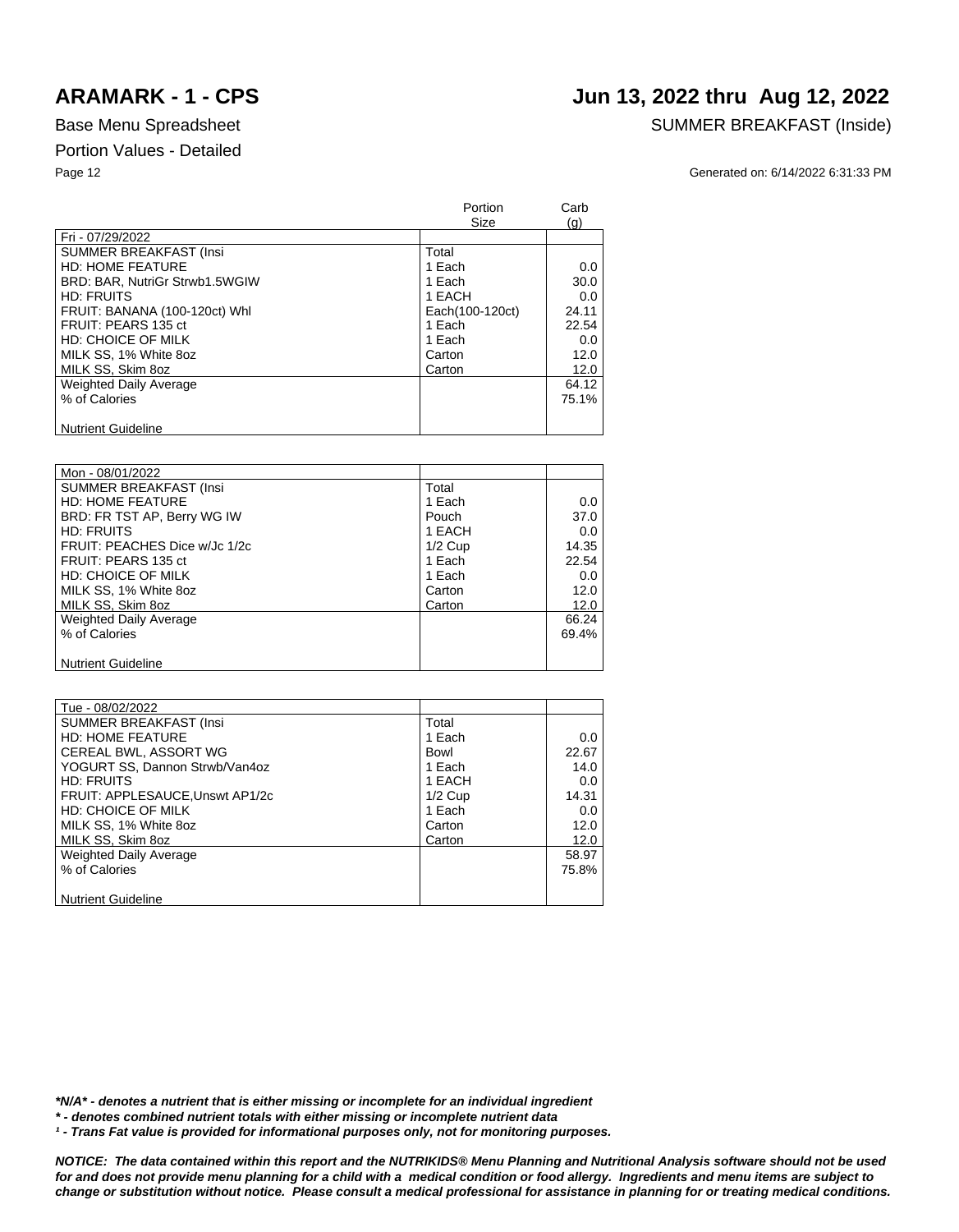# **ARAMARK - 1 - CPS Jun 13, 2022 thru Aug 12, 2022**

### Base Menu Spreadsheet SUMMER BREAKFAST (Inside)

Page 12 Generated on: 6/14/2022 6:31:33 PM

|                                | Portion<br>Size | Carb<br>(q) |
|--------------------------------|-----------------|-------------|
| Fri - 07/29/2022               |                 |             |
| <b>SUMMER BREAKFAST (Insi</b>  | Total           |             |
| <b>HD: HOME FEATURE</b>        | 1 Each          | 0.0         |
| BRD: BAR, NutriGr Strwb1.5WGIW | 1 Each          | 30.0        |
| <b>HD: FRUITS</b>              | 1 EACH          | 0.0         |
| FRUIT: BANANA (100-120ct) Whl  | Each(100-120ct) | 24.11       |
| FRUIT: PEARS 135 ct            | 1 Each          | 22.54       |
| <b>HD: CHOICE OF MILK</b>      | 1 Each          | 0.0         |
| MILK SS, 1% White 8oz          | Carton          | 12.0        |
| MILK SS, Skim 8oz              | Carton          | 12.0        |
| <b>Weighted Daily Average</b>  |                 | 64.12       |
| % of Calories                  |                 | 75.1%       |
|                                |                 |             |
| <b>Nutrient Guideline</b>      |                 |             |

| Mon - 08/01/2022              |           |       |
|-------------------------------|-----------|-------|
| <b>SUMMER BREAKFAST (Insi</b> | Total     |       |
| <b>HD: HOME FEATURE</b>       | 1 Each    | 0.0   |
| BRD: FR TST AP, Berry WG IW   | Pouch     | 37.0  |
| <b>HD: FRUITS</b>             | 1 EACH    | 0.0   |
| FRUIT: PEACHES Dice w/Jc 1/2c | $1/2$ Cup | 14.35 |
| FRUIT: PEARS 135 ct           | 1 Each    | 22.54 |
| HD: CHOICE OF MILK            | 1 Each    | 0.0   |
| MILK SS, 1% White 8oz         | Carton    | 12.0  |
| MILK SS, Skim 8oz             | Carton    | 12.0  |
| <b>Weighted Daily Average</b> |           | 66.24 |
| % of Calories                 |           | 69.4% |
|                               |           |       |
| <b>Nutrient Guideline</b>     |           |       |

| Tue - 08/02/2022                |           |         |
|---------------------------------|-----------|---------|
| <b>SUMMER BREAKFAST (Insi</b>   | Total     |         |
| <b>HD: HOME FEATURE</b>         | 1 Each    | 0.0     |
| CEREAL BWL, ASSORT WG           | Bowl      | 22.67   |
| YOGURT SS, Dannon Strwb/Van4oz  | 1 Each    | 14.0    |
| <b>HD: FRUITS</b>               | 1 EACH    | $0.0\,$ |
| FRUIT: APPLESAUCE, Unswt AP1/2c | $1/2$ Cup | 14.31   |
| HD: CHOICE OF MILK              | 1 Each    | 0.0     |
| MILK SS, 1% White 8oz           | Carton    | 12.0    |
| MILK SS, Skim 8oz               | Carton    | 12.0    |
| <b>Weighted Daily Average</b>   |           | 58.97   |
| % of Calories                   |           | 75.8%   |
|                                 |           |         |
| <b>Nutrient Guideline</b>       |           |         |

*\*N/A\* - denotes a nutrient that is either missing or incomplete for an individual ingredient*

*\* - denotes combined nutrient totals with either missing or incomplete nutrient data*

<sup>1</sup> - Trans Fat value is provided for informational purposes only, not for monitoring purposes.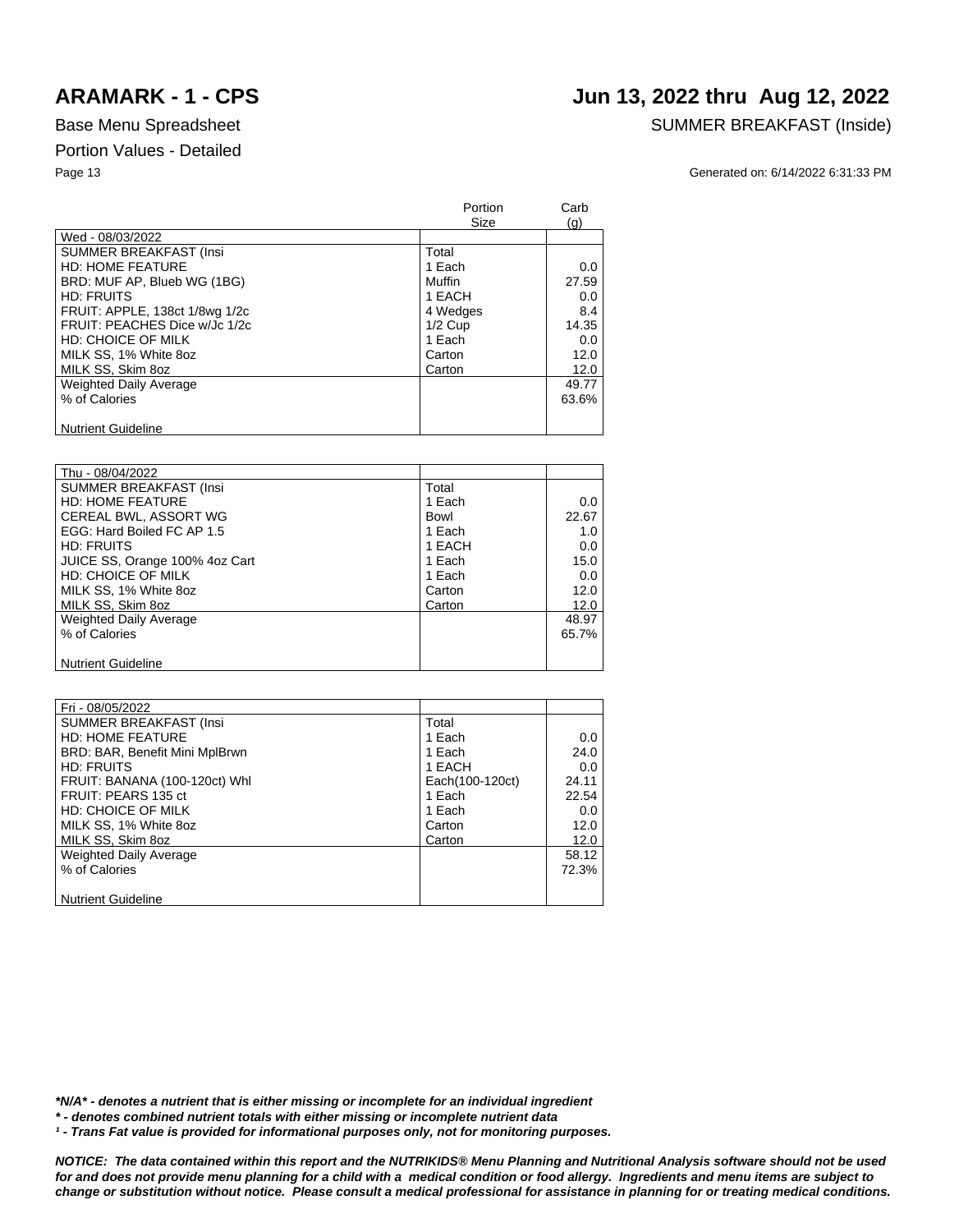# **ARAMARK - 1 - CPS Jun 13, 2022 thru Aug 12, 2022**

### Base Menu Spreadsheet SUMMER BREAKFAST (Inside)

Page 13 Generated on: 6/14/2022 6:31:33 PM

|                                | Portion<br>Size | Carb<br>(q) |
|--------------------------------|-----------------|-------------|
| Wed - 08/03/2022               |                 |             |
| <b>SUMMER BREAKFAST (Insi</b>  | Total           |             |
| <b>HD: HOME FEATURE</b>        | 1 Each          | 0.0         |
| BRD: MUF AP, Blueb WG (1BG)    | Muffin          | 27.59       |
| <b>HD: FRUITS</b>              | 1 EACH          | 0.0         |
| FRUIT: APPLE, 138ct 1/8wg 1/2c | 4 Wedges        | 8.4         |
| FRUIT: PEACHES Dice w/Jc 1/2c  | $1/2$ Cup       | 14.35       |
| <b>HD: CHOICE OF MILK</b>      | 1 Each          | 0.0         |
| MILK SS, 1% White 8oz          | Carton          | 12.0        |
| MILK SS, Skim 8oz              | Carton          | 12.0        |
| <b>Weighted Daily Average</b>  |                 | 49.77       |
| % of Calories                  |                 | 63.6%       |
|                                |                 |             |
| <b>Nutrient Guideline</b>      |                 |             |

| Thu - 08/04/2022               |        |       |
|--------------------------------|--------|-------|
| SUMMER BREAKFAST (Insi         | Total  |       |
| <b>HD: HOME FEATURE</b>        | 1 Each | 0.0   |
|                                |        |       |
| CEREAL BWL, ASSORT WG          | Bowl   | 22.67 |
| EGG: Hard Boiled FC AP 1.5     | 1 Each | 1.0   |
| HD: FRUITS                     | 1 EACH | 0.0   |
| JUICE SS, Orange 100% 4oz Cart | 1 Each | 15.0  |
| HD: CHOICE OF MILK             | 1 Each | 0.0   |
| MILK SS, 1% White 8oz          | Carton | 12.0  |
| MILK SS, Skim 8oz              | Carton | 12.0  |
| <b>Weighted Daily Average</b>  |        | 48.97 |
| % of Calories                  |        | 65.7% |
|                                |        |       |
| <b>Nutrient Guideline</b>      |        |       |

| Fri - 08/05/2022               |                 |       |
|--------------------------------|-----------------|-------|
| <b>SUMMER BREAKFAST (Insi</b>  | Total           |       |
| <b>HD: HOME FEATURE</b>        | 1 Each          | 0.0   |
| BRD: BAR, Benefit Mini MplBrwn | 1 Each          | 24.0  |
| <b>HD: FRUITS</b>              | 1 EACH          | 0.0   |
| FRUIT: BANANA (100-120ct) Whi  | Each(100-120ct) | 24.11 |
| FRUIT: PEARS 135 ct            | 1 Each          | 22.54 |
| HD: CHOICE OF MILK             | 1 Each          | 0.0   |
| MILK SS, 1% White 8oz          | Carton          | 12.0  |
| MILK SS, Skim 8oz              | Carton          | 12.0  |
| <b>Weighted Daily Average</b>  |                 | 58.12 |
| % of Calories                  |                 | 72.3% |
|                                |                 |       |
| <b>Nutrient Guideline</b>      |                 |       |

*\*N/A\* - denotes a nutrient that is either missing or incomplete for an individual ingredient*

*\* - denotes combined nutrient totals with either missing or incomplete nutrient data*

<sup>1</sup> - Trans Fat value is provided for informational purposes only, not for monitoring purposes.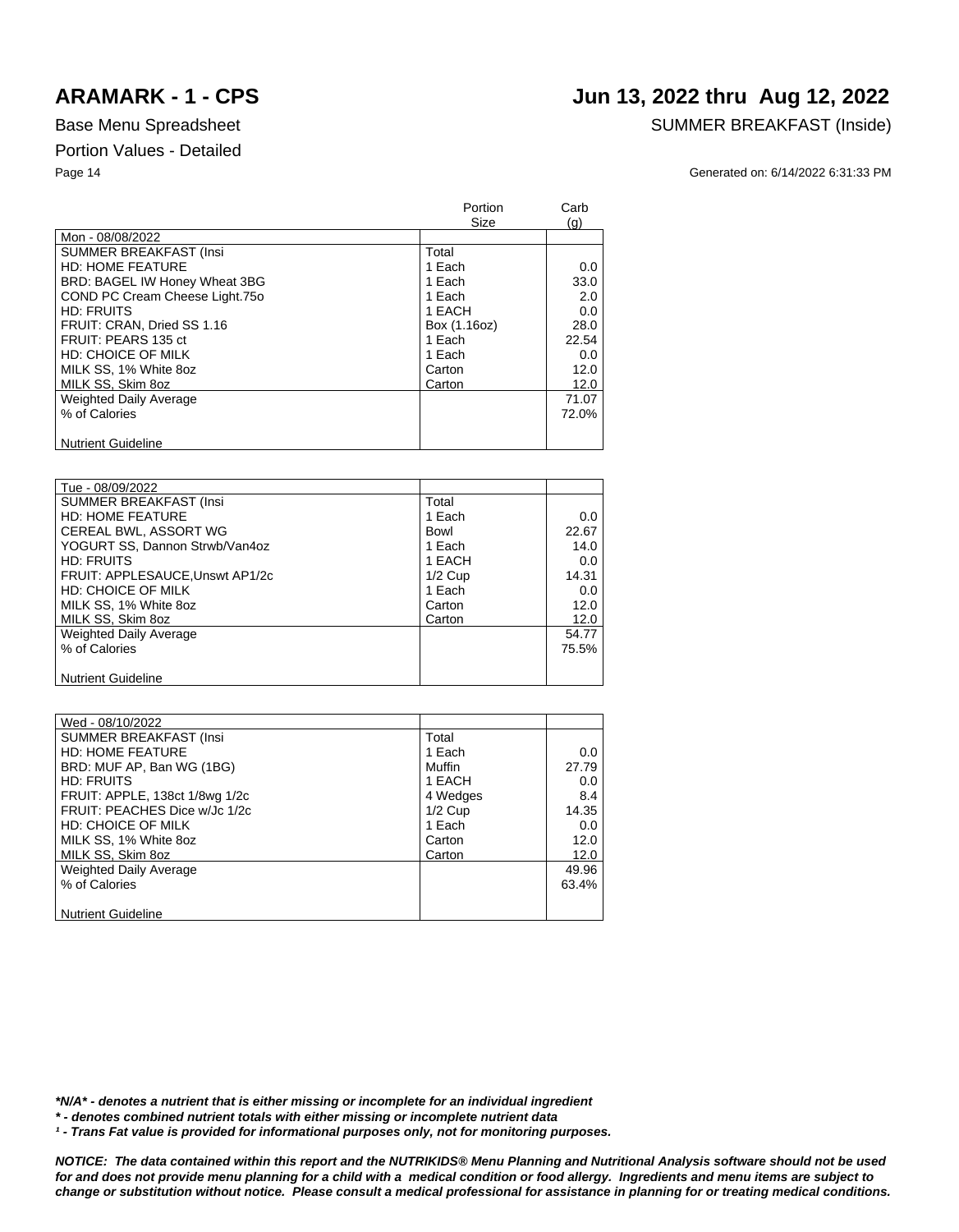## **ARAMARK - 1 - CPS Jun 13, 2022 thru Aug 12, 2022**

### Base Menu Spreadsheet SUMMER BREAKFAST (Inside)

Page 14 Generated on: 6/14/2022 6:31:33 PM

|                                | Portion<br>Size | Carb<br>(q) |
|--------------------------------|-----------------|-------------|
| Mon - 08/08/2022               |                 |             |
| <b>SUMMER BREAKFAST (Insi</b>  | Total           |             |
| <b>HD: HOME FEATURE</b>        | 1 Each          | 0.0         |
| BRD: BAGEL IW Honey Wheat 3BG  | 1 Each          | 33.0        |
| COND PC Cream Cheese Light.750 | 1 Each          | 2.0         |
| HD: FRUITS                     | 1 EACH          | 0.0         |
| FRUIT: CRAN, Dried SS 1.16     | Box (1.16oz)    | 28.0        |
| FRUIT: PEARS 135 ct            | 1 Each          | 22.54       |
| HD: CHOICE OF MILK             | 1 Each          | 0.0         |
| MILK SS, 1% White 8oz          | Carton          | 12.0        |
| MILK SS, Skim 8oz              | Carton          | 12.0        |
| <b>Weighted Daily Average</b>  |                 | 71.07       |
| % of Calories                  |                 | 72.0%       |
|                                |                 |             |
| <b>Nutrient Guideline</b>      |                 |             |

| Tue - 08/09/2022                |           |       |
|---------------------------------|-----------|-------|
| <b>SUMMER BREAKFAST (Insi</b>   | Total     |       |
| <b>HD: HOME FEATURE</b>         | 1 Each    | 0.0   |
| CEREAL BWL, ASSORT WG           | Bowl      | 22.67 |
| YOGURT SS, Dannon Strwb/Van4oz  | 1 Each    | 14.0  |
| <b>HD: FRUITS</b>               | 1 EACH    | 0.0   |
| FRUIT: APPLESAUCE, Unswt AP1/2c | $1/2$ Cup | 14.31 |
| HD: CHOICE OF MILK              | 1 Each    | 0.0   |
| MILK SS, 1% White 8oz           | Carton    | 12.0  |
| MILK SS, Skim 8oz               | Carton    | 12.0  |
| <b>Weighted Daily Average</b>   |           | 54.77 |
| % of Calories                   |           | 75.5% |
|                                 |           |       |
| <b>Nutrient Guideline</b>       |           |       |

| Wed - 08/10/2022               |           |       |
|--------------------------------|-----------|-------|
| <b>SUMMER BREAKFAST (Insi</b>  | Total     |       |
| <b>HD: HOME FEATURE</b>        | 1 Each    | 0.0   |
| BRD: MUF AP, Ban WG (1BG)      | Muffin    | 27.79 |
| <b>HD: FRUITS</b>              | 1 EACH    | 0.0   |
| FRUIT: APPLE, 138ct 1/8wg 1/2c | 4 Wedges  | 8.4   |
| FRUIT: PEACHES Dice w/Jc 1/2c  | $1/2$ Cup | 14.35 |
| <b>HD: CHOICE OF MILK</b>      | 1 Each    | 0.0   |
| MILK SS, 1% White 8oz          | Carton    | 12.0  |
| MILK SS, Skim 8oz              | Carton    | 12.0  |
| Weighted Daily Average         |           | 49.96 |
| % of Calories                  |           | 63.4% |
|                                |           |       |
| <b>Nutrient Guideline</b>      |           |       |

*\*N/A\* - denotes a nutrient that is either missing or incomplete for an individual ingredient*

*\* - denotes combined nutrient totals with either missing or incomplete nutrient data*

<sup>1</sup> - Trans Fat value is provided for informational purposes only, not for monitoring purposes.